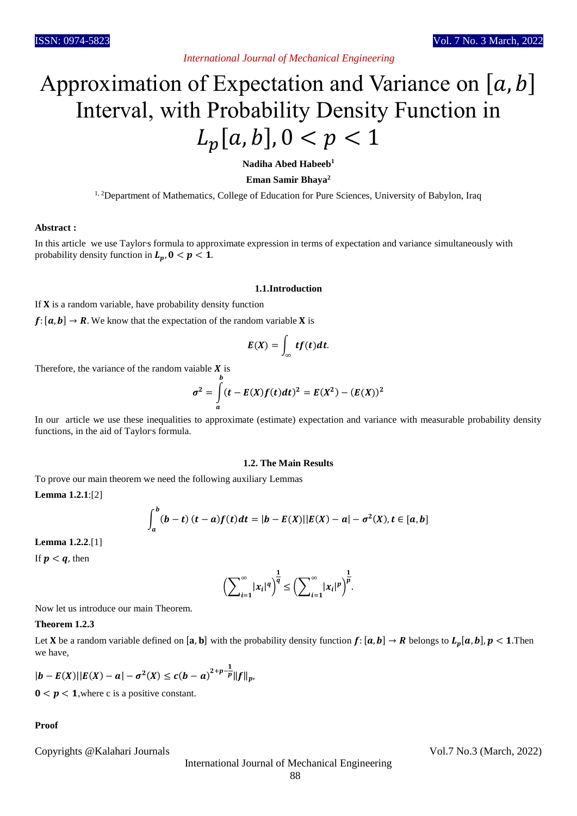## *International Journal of Mechanical Engineering*

# Approximation of Expectation and Variance on  $[a, b]$ Interval, with Probability Density Function in  $L_p[a, b], 0 < p < 1$

**Nadiha Abed Habeeb<sup>1</sup>**

**Eman Samir Bhaya<sup>2</sup>**

<sup>1, 2</sup>Department of Mathematics, College of Education for Pure Sciences, University of Babylon, Iraq

#### **Abstract :**

In this article we use Taylors formula to approximate expression in terms of expectation and variance simultaneously with probability density function in  $L_p$ ,  $0 < p < 1$ .

#### **1.1.Introduction**

If  $X$  is a random variable, have probability density function

 $f: [a, b] \rightarrow R$ . We know that the expectation of the random variable **X** is

$$
E(X)=\int_{\infty} tf(t)dt.
$$

Therefore, the variance of the random vaiable  $X$  is

$$
\sigma^{2} = \int_{a}^{b} (t - E(X)f(t)dt)^{2} = E(X^{2}) - (E(X))^{2}
$$

In our article we use these inequalities to approximate (estimate) expectation and variance with measurable probability density functions, in the aid of Taylor's formula.

#### **1.2. The Main Results**

To prove our main theorem we need the following auxiliary Lemmas

 $\overline{h}$ 

**Lemma 1.2.1**:[2]

$$
\int_a^b (b-t) (t-a) f(t) dt = |b - E(X)| |E(X) - a| - \sigma^2(X), t \in [a, b]
$$

**Lemma 1.2.2**.[1]

If  $p < q$ , then

$$
\left(\sum_{i=1}^{\infty}|x_i|^q\right)^{\frac{1}{q}} \leq \left(\sum_{i=1}^{\infty}|x_i|^p\right)^{\frac{1}{p}}.
$$

Now let us introduce our main Theorem.

#### **Theorem 1.2.3**

Let **X** be a random variable defined on  $[a, b]$  with the probability density function  $f: [a, b] \to R$  belongs to  $L_p[a, b], p < 1$ .Then we have,

$$
|b - E(X)||E(X) - a| - \sigma^2(X) \le c(b - a)^{2+p-\frac{1}{p}}||f||_{p},
$$

 $0 < p < 1$ , where c is a positive constant.

### **Proof**

Copyrights @Kalahari Journals Vol.7 No.3 (March, 2022)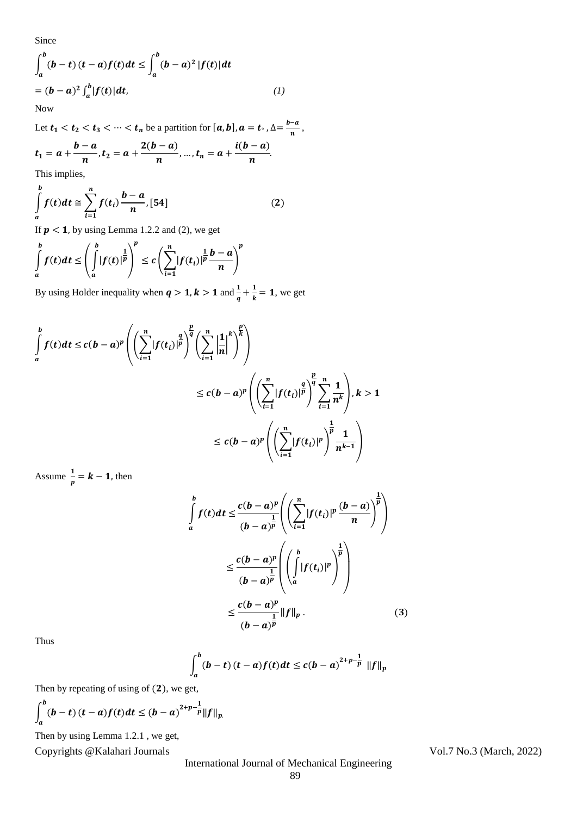Since

$$
\int_{a}^{b} (b-t) (t-a)f(t)dt \le \int_{a}^{b} (b-a)^{2} |f(t)|dt
$$
  
=  $(b-a)^{2} \int_{a}^{b} |f(t)|dt$ , (1)

Now

Let  $t_1 < t_2 < t_3 < \cdots < t_n$  be a partition for  $[a, b]$ ,  $a = t_0$  ,  $\Delta = \frac{b-a}{n}$  $\frac{-u}{n}$ ,  $t_1 = a + \frac{b-a}{n}$  $\frac{-a}{n}$ ,  $t_2 = a + \frac{2(b-a)}{n}$  $\frac{n}{n}$ , ...,  $t_n = a +$  $\bm{i}(\bm{b}-\bm{a})$  $\frac{1}{n}$ .

This implies,

$$
\int_{a}^{b} f(t)dt \cong \sum_{i=1}^{n} f(t_i) \frac{b-a}{n}, [54]
$$
 (2)

If  $p < 1$ , by using Lemma 1.2.2 and (2), we get

$$
\int_{a}^{b} f(t)dt \leq \left(\int_{a}^{b} |f(t)|^{\frac{1}{p}}\right)^{p} \leq c\left(\sum_{i=1}^{n} |f(t_i)|^{\frac{1}{p}} \frac{b-a}{n}\right)^{p}
$$

By using Holder inequality when  $q > 1, k > 1$  and  $\frac{1}{q} + \frac{1}{k}$  $\frac{1}{k}$  = 1, we get

$$
\int_{a}^{b} f(t)dt \le c(b-a)^{p} \left( \left( \sum_{i=1}^{n} |f(t_{i})|^{p} \right)^{\frac{p}{q}} \left( \sum_{i=1}^{n} \left| \frac{1}{n} \right|^{k} \right)^{\frac{p}{k}} \right)
$$
\n
$$
\le c(b-a)^{p} \left( \left( \sum_{i=1}^{n} |f(t_{i})|^{p} \right)^{\frac{p}{q}} \sum_{i=1}^{n} \frac{1}{n^{k}} \right), k > 1
$$
\n
$$
\le c(b-a)^{p} \left( \left( \sum_{i=1}^{n} |f(t_{i})|^{p} \right)^{\frac{1}{p}} \frac{1}{n^{k-1}} \right)
$$

Assume  $\frac{1}{p} = k - 1$ , then

$$
\int_{a}^{b} f(t)dt \leq \frac{c(b-a)^{p}}{(b-a)^{\frac{1}{p}}} \left( \left( \sum_{i=1}^{n} |f(t_{i})|^{p} \frac{(b-a)}{n} \right)^{\frac{1}{p}} \right)
$$
\n
$$
\leq \frac{c(b-a)^{p}}{(b-a)^{\frac{1}{p}}} \left( \left( \int_{a}^{b} |f(t_{i})|^{p} \right)^{\frac{1}{p}} \right)
$$
\n
$$
\leq \frac{c(b-a)^{p}}{(b-a)^{\frac{1}{p}}} ||f||_{p}. \tag{3}
$$

Thus

$$
\int_{a}^{b} (b-t) (t-a) f(t) dt \le c (b-a)^{2+p-\frac{1}{p}} \|f\|_{p}
$$

Then by repeating of using of  $(2)$ , we get,

$$
\int_a^b (b-t) (t-a) f(t) dt \le (b-a)^{2+p-\frac{1}{p}} ||f||_{p.}
$$

Then by using Lemma 1.2.1 , we get,

Copyrights @Kalahari Journals Vol.7 No.3 (March, 2022)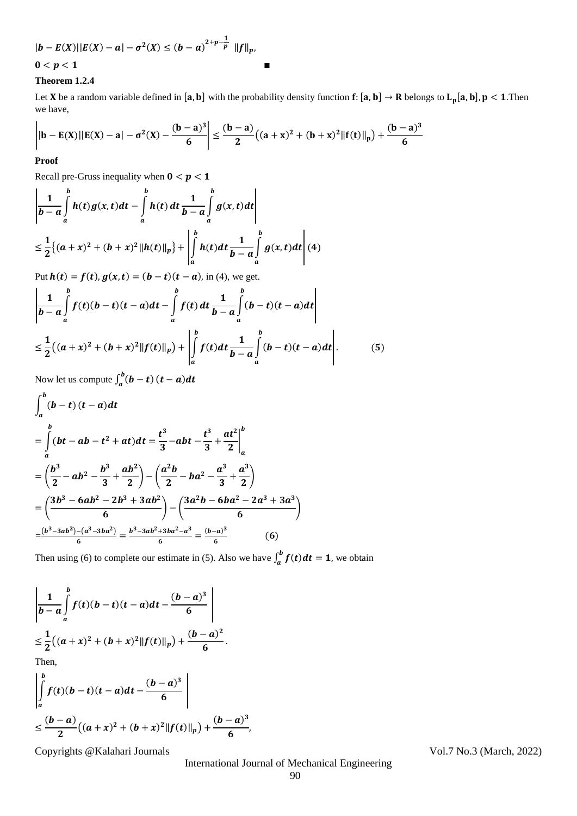$$
|b - E(X)||E(X) - a| - \sigma^2(X) \le (b - a)^{2+p-\frac{1}{p}} ||f||_{p},
$$

$$
0 < p < 1
$$

## **Theorem 1.2.4**

Let **X** be a random variable defined in [a, b] with the probability density function  $f: [a, b] \to R$  belongs to  $L_p[a, b]$ ,  $p < 1$ . Then we have,

$$
\left| |b - E(X)| |E(X) - a| - \sigma^2(X) - \frac{(b-a)^3}{6} \right| \leq \frac{(b-a)}{2} \big( (a+x)^2 + (b+x)^2 \|f(t)\|_p \big) + \frac{(b-a)^3}{6}
$$

## **Proof**

Recall pre-Gruss inequality when  $0 < p < 1$ 

$$
\left| \frac{1}{b-a} \int_{a}^{b} h(t)g(x,t)dt - \int_{a}^{b} h(t) dt \frac{1}{b-a} \int_{a}^{b} g(x,t)dt \right|
$$
  
\n
$$
\leq \frac{1}{2} \{(a+x)^2 + (b+x)^2 ||h(t)||_p\} + \left| \int_{a}^{b} h(t) dt \frac{1}{b-a} \int_{a}^{b} g(x,t)dt \right| (4)
$$
  
\nPut  $h(t) = f(t), g(x,t) = (b-t)(t-a), \text{ in (4), we get.}$ 

$$
\left|\frac{1}{b-a}\int_{a}^{b}f(t)(b-t)(t-a)dt-\int_{a}^{b}f(t)dt\frac{1}{b-a}\int_{a}^{b}(b-t)(t-a)dt\right|
$$
  

$$
\leq \frac{1}{2}((a+x)^{2}+(b+x)^{2}\|f(t)\|_{p})+\left|\int_{a}^{b}f(t)dt\frac{1}{b-a}\int_{a}^{b}(b-t)(t-a)dt\right|.
$$
 (5)

Now let us compute  $\int_a^b (b-t)$  $\int_{a}^{b}(b-t)(t-a)dt$  $\mathbf{r}$ 

$$
\int_{a}^{b} (b-t) (t-a) dt
$$
\n
$$
= \int_{a}^{b} (bt - ab - t^{2} + at) dt = \frac{t^{3}}{3} - abt - \frac{t^{3}}{3} + \frac{at^{2}}{2} \Big|_{a}^{b}
$$
\n
$$
= \left(\frac{b^{3}}{2} - ab^{2} - \frac{b^{3}}{3} + \frac{ab^{2}}{2}\right) - \left(\frac{a^{2}b}{2} - ba^{2} - \frac{a^{3}}{3} + \frac{a^{3}}{2}\right)
$$
\n
$$
= \left(\frac{3b^{3} - 6ab^{2} - 2b^{3} + 3ab^{2}}{6}\right) - \left(\frac{3a^{2}b - 6ba^{2} - 2a^{3} + 3a^{3}}{6}\right)
$$
\n
$$
= \frac{(b^{3} - 3ab^{2}) - (a^{3} - 3ba^{2})}{6} = \frac{b^{3} - 3ab^{2} + 3ba^{2} - a^{3}}{6} = \frac{(b-a)^{3}}{6} \qquad (6)
$$

Then using (6) to complete our estimate in (5). Also we have  $\int_a^b f(t) dt = 1$  $\int_a^b f(t)dt = 1$ , we obtain

$$
\left|\frac{1}{b-a}\int_{a}^{b}f(t)(b-t)(t-a)dt - \frac{(b-a)^{3}}{6}\right|
$$
  
\n
$$
\leq \frac{1}{2}((a+x)^{2} + (b+x)^{2}||f(t)||_{p}) + \frac{(b-a)^{2}}{6}.
$$
  
\nThen,  
\n
$$
\left|\frac{b}{b}\right|
$$
  
\n
$$
(b-a)^{3}
$$

$$
\left| \int_{a}^{b} f(t)(b-t)(t-a)dt - \frac{(b-a)^{3}}{6} \right|
$$
  

$$
\leq \frac{(b-a)}{2} \Big( (a+x)^{2} + (b+x)^{2} \| f(t) \|_{p} \Big) + \frac{(b-a)^{3}}{6},
$$

Copyrights @Kalahari Journals Vol.7 No.3 (March, 2022)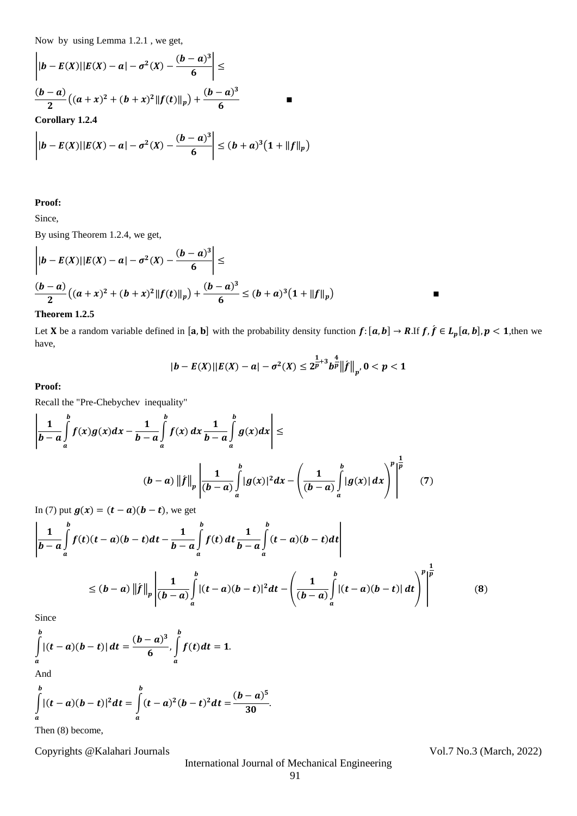Now by using Lemma 1.2.1 , we get,

$$
\left| |b - E(X)| |E(X) - a| - \sigma^2(X) - \frac{(b - a)^3}{6} \right| \le
$$
  

$$
\frac{(b - a)}{2} ((a + x)^2 + (b + x)^2 ||f(t)||_p) + \frac{(b - a)^3}{6}
$$

**Corollary 1.2.4**

$$
\left| |b - E(X)| |E(X) - a| - \sigma^2(X) - \frac{(b - a)^3}{6} \right| \le (b + a)^3 (1 + ||f||_p)
$$

#### **Proof:**

Since,

By using Theorem 1.2.4, we get,

$$
\left| |b - E(X)| |E(X) - a| - \sigma^2(X) - \frac{(b - a)^3}{6} \right| \le
$$
  

$$
\frac{(b - a)}{2} \left( (a + x)^2 + (b + x)^2 ||f(t)||_p \right) + \frac{(b - a)^3}{6} \le (b + a)^3 (1 + ||f||_p)
$$

# **Theorem 1.2.5**

Let **X** be a random variable defined in [a, b] with the probability density function  $f: [a, b] \to R$ .If  $f, \hat{f} \in L_p[a, b], p < 1$ , then we have,

$$
|b - E(X)| |E(X) - a| - \sigma^2(X) \leq 2^{\frac{1}{p} + 3} b^{\frac{4}{p}} ||f||_{p}, 0 < p < 1
$$

**Proof:**

Recall the "Pre-Chebychev inequality"

$$
\left| \frac{1}{b-a} \int_{a}^{b} f(x)g(x)dx - \frac{1}{b-a} \int_{a}^{b} f(x) dx \frac{1}{b-a} \int_{a}^{b} g(x)dx \right| \le
$$
  

$$
(b-a) \left\| \hat{f} \right\|_{p} \left| \frac{1}{(b-a)} \int_{a}^{b} |g(x)|^{2} dx - \left( \frac{1}{(b-a)} \int_{a}^{b} |g(x)| dx \right)^{p} \right|^{p}
$$
(7)

In (7) put  $g(x) = (t - a)(b - t)$ , we get

$$
\left| \frac{1}{b-a} \int_{a}^{b} f(t)(t-a)(b-t)dt - \frac{1}{b-a} \int_{a}^{b} f(t) dt \frac{1}{b-a} \int_{a}^{b} (t-a)(b-t)dt \right|
$$
  
\n
$$
\le (b-a) \left\| f \right\|_{p} \left| \frac{1}{(b-a)} \int_{a}^{b} |(t-a)(b-t)|^{2} dt - \left( \frac{1}{(b-a)} \int_{a}^{b} |(t-a)(b-t)| dt \right)^{p} \right|^{\frac{1}{p}} \tag{8}
$$

Since

$$
\int_{a}^{b} |(t-a)(b-t)| dt = \frac{(b-a)^3}{6}, \int_{a}^{b} f(t) dt = 1.
$$

And

$$
\int_{a}^{b} |(t-a)(b-t)|^2 dt = \int_{a}^{b} (t-a)^2 (b-t)^2 dt = \frac{(b-a)^5}{30}.
$$

Then (8) become,

Copyrights @Kalahari Journals Vol.7 No.3 (March, 2022)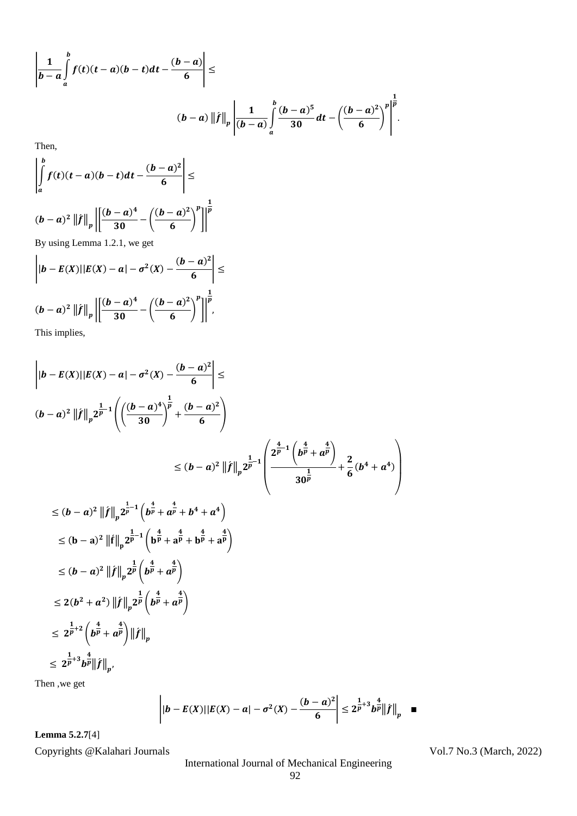$$
\left|\frac{1}{b-a}\int_{a}^{b}f(t)(t-a)(b-t)dt-\frac{(b-a)}{6}\right|\leq
$$
  

$$
(b-a)\left\|f\right\|_{p}\left|\frac{1}{(b-a)}\int_{a}^{b}\frac{(b-a)^{5}}{30}dt-\left(\frac{(b-a)^{2}}{6}\right)^{p}\right|^{\frac{1}{p}}.
$$

Then,

$$
\left| \int_{a}^{b} f(t)(t-a)(b-t)dt - \frac{(b-a)^{2}}{6} \right| \le
$$
  

$$
(b-a)^{2} ||f||_{p} \left| \left[ \frac{(b-a)^{4}}{30} - \left( \frac{(b-a)^{2}}{6} \right)^{p} \right] \right|^{\frac{1}{p}}
$$

By using Lemma 1.2.1, we get

$$
\left| |b - E(X)| |E(X) - a| - \sigma^2(X) - \frac{(b - a)^2}{6} \right| \le
$$
  

$$
(b - a)^2 ||f||_p \left| \left[ \frac{(b - a)^4}{30} - \left( \frac{(b - a)^2}{6} \right)^p \right] \right|^{\frac{1}{p}},
$$

This implies,

$$
\left| |b - E(X)| |E(X) - a| - \sigma^2(X) - \frac{(b - a)^2}{6} \right| \le
$$
\n
$$
(b - a)^2 ||f||_p 2^{\frac{1}{p}-1} \left( \left( \frac{(b - a)^4}{30} \right)^{\frac{1}{p}} + \frac{(b - a)^2}{6} \right)
$$
\n
$$
\le (b - a)^2 ||f||_p 2^{\frac{1}{p}-1} \left( \frac{2^{\frac{4}{p}-1} \left( b^{\frac{4}{p}} + a^{\frac{4}{p}} \right)}{30^{\frac{1}{p}}} + \frac{2}{6} (b^4 + a^4) \right)
$$
\n
$$
\le (b - a)^2 ||f||_p 2^{\frac{1}{p}-1} \left( b^{\frac{4}{p}} + a^{\frac{4}{p}} + b^4 + a^4 \right)
$$
\n
$$
\le (b - a)^2 ||f||_p 2^{\frac{1}{p}-1} \left( b^{\frac{4}{p}} + a^{\frac{4}{p}} + b^{\frac{4}{p}} + a^{\frac{4}{p}} \right)
$$
\n
$$
\le (b - a)^2 ||f||_p 2^{\frac{1}{p}} \left( b^{\frac{4}{p}} + a^{\frac{4}{p}} \right)
$$
\n
$$
\le 2(b^2 + a^2) ||f||_p 2^{\frac{1}{p}} \left( b^{\frac{4}{p}} + a^{\frac{4}{p}} \right)
$$
\n
$$
\le 2^{\frac{1}{p}+2} \left( b^{\frac{4}{p}} + a^{\frac{4}{p}} \right) ||f||_p
$$
\n
$$
\le 2^{\frac{1}{p}+3} b^{\frac{4}{p}} ||f||_p.
$$
\nThen, we get

len ,we get

$$
\left| |b - E(X)| |E(X) - a| - \sigma^2(X) - \frac{(b - a)^2}{6} \right| \leq 2^{\frac{1}{p} + 3} b^{\frac{4}{p}} ||f||_p \quad \blacksquare
$$

**Lemma 5.2.7**[4]

Copyrights @Kalahari Journals Vol.7 No.3 (March, 2022)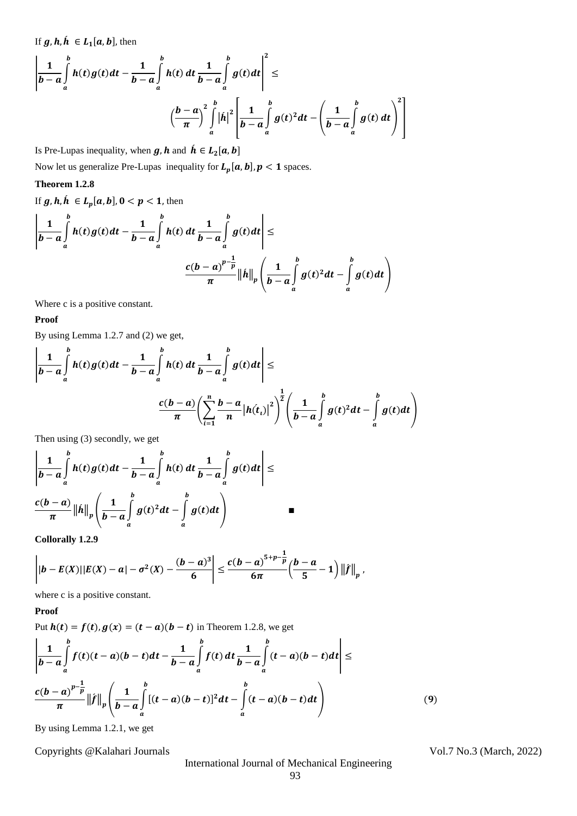If  $g, h, h \in L_1[a, b]$ , then

$$
\left|\frac{1}{b-a}\int_{a}^{b}h(t)g(t)dt-\frac{1}{b-a}\int_{a}^{b}h(t) dt \frac{1}{b-a}\int_{a}^{b}g(t)dt\right|^{2} \leq
$$
\n
$$
\left(\frac{b-a}{\pi}\right)^{2}\int_{a}^{b}|\hat{h}|^{2}\left[\frac{1}{b-a}\int_{a}^{b}g(t)^{2}dt-\left(\frac{1}{b-a}\int_{a}^{b}g(t) dt\right)^{2}\right]
$$

Is Pre-Lupas inequality, when  $g, h$  and  $\hat{h} \in L_2[a, b]$ 

Now let us generalize Pre-Lupas inequality for  $L_p[a, b]$ ,  $p < 1$  spaces.

## **Theorem 1.2.8**

If  $g, h, h \in L_p[a, b], 0 < p < 1$ , then

$$
\left|\frac{1}{b-a}\int_{a}^{b}h(t)g(t)dt-\frac{1}{b-a}\int_{a}^{b}h(t) dt \frac{1}{b-a}\int_{a}^{b}g(t)dt\right|\leq \frac{c(b-a)^{p-\frac{1}{p}}}{\pi}\|\hat{h}\|_{p}\left(\frac{1}{b-a}\int_{a}^{b}g(t)^{2}dt-\int_{a}^{b}g(t)dt\right)
$$

Where c is a positive constant.

# **Proof**

By using Lemma 1.2.7 and (2) we get,

$$
\left|\frac{1}{b-a}\int_{a}^{b}h(t)g(t)dt-\frac{1}{b-a}\int_{a}^{b}h(t) dt \frac{1}{b-a}\int_{a}^{b}g(t)dt\right|\leq
$$

$$
\frac{c(b-a)}{\pi}\left(\sum_{i=1}^{n}\frac{b-a}{n}\left|h(t_{i})\right|^{2}\right)^{\frac{1}{2}}\left(\frac{1}{b-a}\int_{a}^{b}g(t)^{2}dt-\int_{a}^{b}g(t)dt\right)
$$

J.

Then using (3) secondly, we get

$$
\left|\frac{1}{b-a}\int_{a}^{b}h(t)g(t)dt-\frac{1}{b-a}\int_{a}^{b}h(t) dt \frac{1}{b-a}\int_{a}^{b}g(t)dt\right|\leq
$$
  

$$
\frac{c(b-a)}{\pi}\left\|h\right\|_{p}\left(\frac{1}{b-a}\int_{a}^{b}g(t)^{2}dt-\int_{a}^{b}g(t)dt\right)
$$

**Collorally 1.2.9**

$$
\left| |b - E(X)| |E(X) - a| - \sigma^2(X) - \frac{(b-a)^3}{6} \right| \leq \frac{c(b-a)^{5+p-\frac{1}{p}}}{6\pi} \left( \frac{b-a}{5} - 1 \right) \left\| f \right\|_{p},
$$

where c is a positive constant.

# **Proof**

Put  $h(t) = f(t), g(x) = (t - a)(b - t)$  in Theorem 1.2.8, we get

$$
\left| \frac{1}{b-a} \int_{a}^{b} f(t)(t-a)(b-t)dt - \frac{1}{b-a} \int_{a}^{b} f(t) dt \frac{1}{b-a} \int_{a}^{b} (t-a)(b-t)dt \right| \le \frac{c(b-a)^{p-\frac{1}{p}}}{\pi} ||\hat{f}||_{p} \left( \frac{1}{b-a} \int_{a}^{b} [(t-a)(b-t)]^{2} dt - \int_{a}^{b} (t-a)(b-t) dt \right)
$$
(9)

By using Lemma 1.2.1, we get

Copyrights @Kalahari Journals Vol.7 No.3 (March, 2022)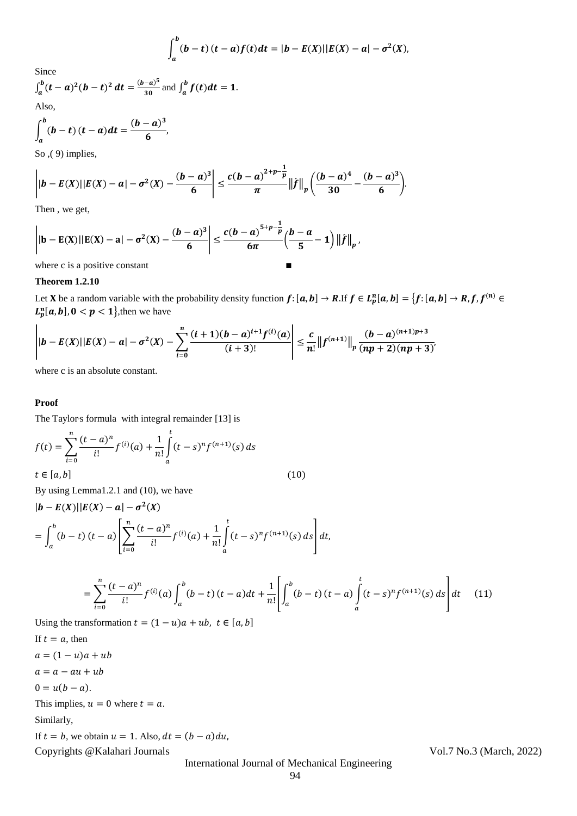$$
\int_a^b (b-t) (t-a) f(t) dt = |b - E(X)| |E(X) - a| - \sigma^2(X),
$$

Since

$$
\int_{a}^{b} (t-a)^{2} (b-t)^{2} dt = \frac{(b-a)^{5}}{30}
$$
 and 
$$
\int_{a}^{b} f(t) dt = 1.
$$
 Also,

$$
\int_{a}^{b} (b-t) (t-a) dt = \frac{(b-a)^3}{6},
$$

So ,( 9) implies,

$$
\left| |b - E(X)| |E(X) - a| - \sigma^2(X) - \frac{(b - a)^3}{6} \right| \leq \frac{c(b - a)^{2+p-\frac{1}{p}}}{\pi} ||f||_p \left( \frac{(b - a)^4}{30} - \frac{(b - a)^3}{6} \right).
$$

Then , we get,

$$
\left| |b - E(X)| |E(X) - a| - \sigma^2(X) - \frac{(b - a)^3}{6} \right| \leq \frac{c(b - a)^{5+p-\frac{1}{p}}}{6\pi} \left( \frac{b - a}{5} - 1 \right) \left\| f \right\|_p,
$$

where c is a positive constant  $\blacksquare$ 

## **Theorem 1.2.10**

Let **X** be a random variable with the probability density function  $f: [a, b] \to R$ .If  $f \in L_p^n[a, b] = \{f: [a, b] \to R, f, f^{(n)} \in R\}$  $L_p^n[a, b], 0 < p < 1$ }, then we have

$$
\left| |b - E(X)| |E(X) - a| - \sigma^2(X) - \sum_{i=0}^n \frac{(i+1)(b-a)^{i+1} f^{(i)}(a)}{(i+3)!} \right| \leq \frac{c}{n!} ||f^{(n+1)}||_p \frac{(b-a)^{(n+1)p+3}}{(np+2)(np+3)}
$$

where c is an absolute constant.

#### **Proof**

The Taylor's formula with integral remainder [13] is

$$
f(t) = \sum_{i=0}^{n} \frac{(t-a)^n}{i!} f^{(i)}(a) + \frac{1}{n!} \int_{a}^{t} (t-s)^n f^{(n+1)}(s) ds
$$
  

$$
t \in [a, b]
$$
 (10)

By using Lemma1.2.1 and (10), we have

$$
|\boldsymbol{b} - \boldsymbol{E}(\boldsymbol{X})| |\boldsymbol{E}(\boldsymbol{X}) - \boldsymbol{a}| - \sigma^2(\boldsymbol{X})
$$
  
= 
$$
\int_a^b (b - t) (t - a) \left[ \sum_{i=0}^n \frac{(t - a)^n}{i!} f^{(i)}(a) + \frac{1}{n!} \int_a^t (t - s)^n f^{(n+1)}(s) ds \right] dt,
$$

$$
= \sum_{i=0}^{n} \frac{(t-a)^{n}}{i!} f^{(i)}(a) \int_{a}^{b} (b-t) (t-a) dt + \frac{1}{n!} \left[ \int_{a}^{b} (b-t) (t-a) \int_{a}^{t} (t-s)^{n} f^{(n+1)}(s) ds \right] dt \quad (11)
$$

Using the transformation  $t = (1 - u)a + ub$ ,  $t \in [a, b]$ 

Copyrights @Kalahari Journals Vol.7 No.3 (March, 2022) If  $t = a$ , then  $a = (1 - u)a + ub$  $a = a - au + ub$  $0 = u(b - a).$ This implies,  $u = 0$  where  $t = a$ . Similarly, If  $t = b$ , we obtain  $u = 1$ . Also,  $dt = (b - a)du$ ,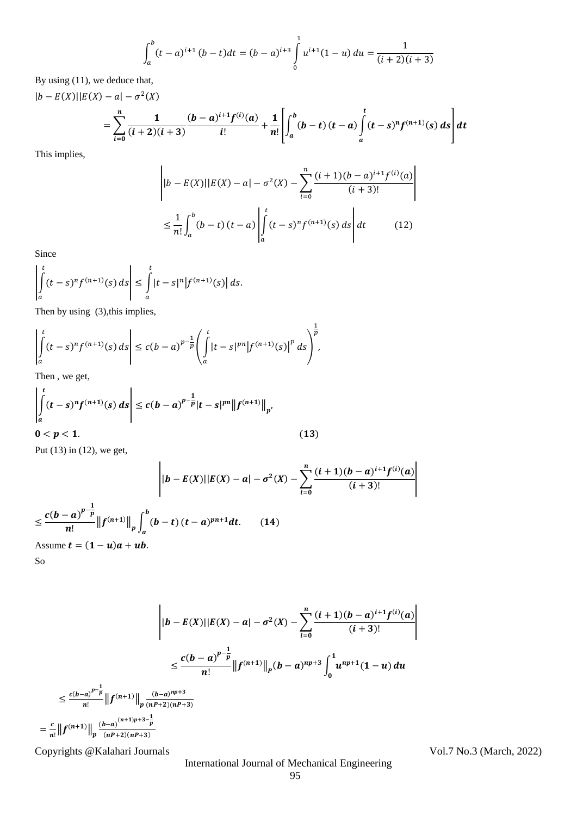$$
\int_{a}^{b} (t-a)^{i+1} (b-t) dt = (b-a)^{i+3} \int_{0}^{1} u^{i+1} (1-u) du = \frac{1}{(i+2)(i+3)}
$$

By using (11), we deduce that,

$$
|b - E(X)||E(X) - a| - \sigma^2(X)
$$
  
= 
$$
\sum_{i=0}^n \frac{1}{(i+2)(i+3)} \frac{(b-a)^{i+1} f^{(i)}(a)}{i!} + \frac{1}{n!} \left[ \int_a^b (b-t) (t-a) \int_a^t (t-s)^n f^{(n+1)}(s) ds \right] dt
$$

This implies,

$$
\left| |b - E(X)| |E(X) - a| - \sigma^2(X) - \sum_{i=0}^n \frac{(i+1)(b-a)^{i+1} f^{(i)}(a)}{(i+3)!} \right|
$$
  

$$
\leq \frac{1}{n!} \int_a^b (b-t) (t-a) \left| \int_a^t (t-s)^n f^{(n+1)}(s) ds \right| dt \qquad (12)
$$

Since

$$
\left|\int\limits_a^t (t-s)^n f^{(n+1)}(s) \, ds\right| \leq \int\limits_a^t |t-s|^n \left|f^{(n+1)}(s)\right| ds.
$$

Then by using (3), this implies,

$$
\left| \int_{a}^{t} (t-s)^{n} f^{(n+1)}(s) ds \right| \le c(b-a)^{p-\frac{1}{p}} \left( \int_{a}^{t} |t-s|^{pn} |f^{(n+1)}(s)|^{p} ds \right)^{\frac{1}{p}},
$$

Then , we get,

$$
\left| \int_{a}^{t} (t-s)^{n} f^{(n+1)}(s) ds \right| \le c(b-a)^{p-\frac{1}{p}} |t-s|^{pn} \| f^{(n+1)} \|_{p'}
$$
  
0 < p < 1. (13)

Put (13) in (12), we get,

$$
\left| |b - E(X)| |E(X) - a| - \sigma^2(X) - \sum_{i=0}^n \frac{(i+1)(b-a)^{i+1} f^{(i)}(a)}{(i+3)!} \right|
$$
  

$$
\leq \frac{c(b-a)^{p-\frac{1}{p}}}{n!} ||f^{(n+1)}||_p \int_a^b (b-t) (t-a)^{pn+1} dt. \qquad (14)
$$

Assume  $t = (1 - u)a + ub$ .

So

 $=$ 

$$
\left\|b - E(X)||E(X) - a| - \sigma^2(X) - \sum_{i=0}^n \frac{(i+1)(b-a)^{i+1}f^{(i)}(a)}{(i+3)!} \right\|
$$
  

$$
\leq \frac{c(b-a)^{p-\frac{1}{p}}}{n!} \left\|f^{(n+1)}\right\|_p (b-a)^{np+3} \int_0^1 u^{np+1}(1-u) du
$$
  

$$
\leq \frac{c(b-a)^{p-\frac{1}{p}}}{n!} \left\|f^{(n+1)}\right\|_p \frac{(b-a)^{np+3}}{(nP+2)(nP+3)}
$$
  

$$
= \frac{c}{n!} \left\|f^{(n+1)}\right\|_p \frac{(b-a)^{(n+1)p+3-\frac{1}{p}}}{(nP+2)(nP+3)}
$$

Copyrights @Kalahari Journals Vol.7 No.3 (March, 2022)

International Journal of Mechanical Engineering

|